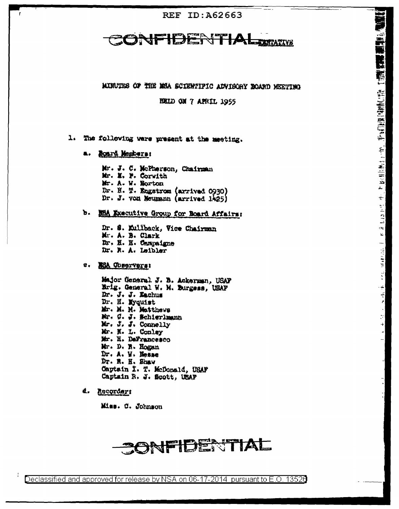### **REF ID: A62663**

#### **JFIDER** WTIA **TATIVE**

MINUTES OF THE MEA SCIENTIFIC ADVISORY BOARD MEETING

(1) 上方(18) 1953 ) 小子的 医神经出血 计数据数据 医神经细胞的

 $1.421^{1.15}$ 

 $\mathcal{A}_{\overline{\xi}}$ ¥,

 $-40.433333$ 

 $\frac{d}{dt}$ 

大夫

 $\tilde{\mathbb{C}}^*$ 

÷

**RELD ON 7 AFRIL 1955** 

1. The following were present at the meeting.

a. Roard Members:

Mr. J. C. McPherson, Chairman Mr. M. F. Corwith Mr. A. W. Norton Dr. N. T. Engstrom (arrived 0930) Dr. J. von Neumann (arrived 1425)

b. MEA Executive Group for Board Affairs:

Dr. S. Eillback, Vice Chairman Mr. A. B. Clark Dr. H. H. Campaigne Dr. R. A. Leibler

**2. MSA Observers!** 

Major General J. B. Ackerman, USAF Erig. General W. M. Burgess, USAF Dr. J. J. Kachus Dr. H. Myquist Mr. M. M. Matthews Mr. G. J. Schierlmann Mr. J. J. Connelly Mr. N. L. Conley Mr. H. DeFrancesco Mr. D. R. Hogan Dr. A. W. Nosse Dr. M. H. Shaw Captain I. T. McDonald, USAF Captain R. J. Scott, USAF

d. Recorder:

Miss. C. Johnson

# **CONFIDENTIAL**

Declassified and approved for release by NSA on 06-17-2014  $\,$  pursuant to E.O. 13526  $\,$